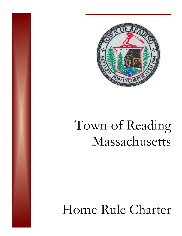

# Town of Reading Massachusetts

# Home Rule Charter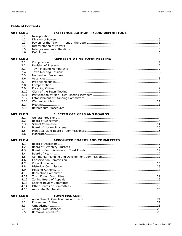**ARTICLE 1** 

# **Table of Contents**

# EXISTENCE, AUTHORITY AND DEFINITIONS

| 13 |  |
|----|--|
|    |  |
|    |  |
|    |  |

# ARTICLE 2 REPRESENTATIVE TOWN MEETING

| 2.1  |  |
|------|--|
| 2.2  |  |
| 2.3  |  |
| 2.4  |  |
| 2.5  |  |
| 2.6  |  |
| 2.7  |  |
| 2.8  |  |
| 2.9  |  |
| 2.10 |  |
| 2.11 |  |
| 2.12 |  |
| 2.13 |  |
| 2.14 |  |
| 2.15 |  |

# **ARTICLE 3**

# **ELECTED OFFICERS AND BOARDS**

| 3.2 |  |
|-----|--|
| 3.3 |  |
| 3.4 |  |
| 3.5 |  |
| 3.6 |  |

# **ARTICLE 4**

# **APPOINTED BOARDS AND COMMITTEES**

| 4.1  |  |
|------|--|
| 4.2  |  |
| 4.3  |  |
| 4.4  |  |
| 4.5  |  |
| 4.6  |  |
| 4.7  |  |
| 4.8  |  |
| 4.9  |  |
| 4.10 |  |
| 4.11 |  |
| 4.12 |  |
| 4.13 |  |
| 4.14 |  |
| 4.15 |  |
|      |  |

# **ARTICLE 5**

# **TOWN MANAGER**

| 5.1 |  |
|-----|--|
| 52  |  |
|     |  |
| 5.4 |  |
| 5.5 |  |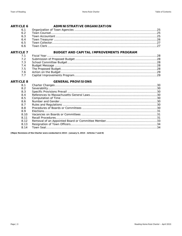### ADMINISTRATIVE ORGANIZATION **ARTICLE 6**  $\sim 10^{11}$  $\overline{a}$

| 6.1 |  |
|-----|--|
| 6.2 |  |
| 6.3 |  |
| 6.4 |  |
| 6.5 |  |
| 6.6 |  |

# **ARTICLE 7**

# BUDGET AND CAPITAL IMPROVEMENTS PROGRAM

| 7.2 |  |
|-----|--|
| 7.3 |  |
| 7.4 |  |
| 7.5 |  |
| 7.6 |  |
| 7.7 |  |

# **ARTICLE 8**

# **GENERAL PROVISIONS**

| 8.1  |  |
|------|--|
| 8.2  |  |
| 8.3  |  |
| 8.4  |  |
| 8.5  |  |
| 8.6  |  |
| 8.7  |  |
| 8.8  |  |
| 8.9  |  |
| 8.10 |  |
| 8.11 |  |
| 8.12 |  |
| 8.13 |  |
| 8.14 |  |
|      |  |

[Major Revisions of the Charter were conducted in 2015 - January 5, 2015 - Articles 7 and 8]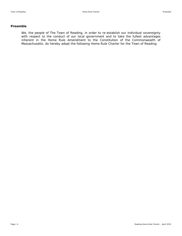# **Preamble**

We, the people of The Town of Reading, in order to re-establish our individual sovereignty with respect to the conduct of our local government and to take the fullest advantages inherent in the Home Rule Amendment to the Constitution of the Commonwealth of Massachusetts, do hereby adopt the following Home Rule Charter for the Town of Reading.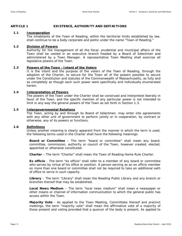# **ARTICLE 1 EXISTENCE, AUTHORITY AND DEFINITIONS**

# **1.1 Incorporation**

The inhabitants of the Town of Reading, within the territorial limits established by law, shall continue to be a body corporate and politic under the name "Town of Reading."

# **1.2 Division of Powers**

Authority for the management of all the fiscal, prudential and municipal affairs of the Town shall be vested in an executive branch headed by a Board of Selectmen and administered by a Town Manager. A representative Town Meeting shall exercise all legislative powers of the Town.

# **1.3 Powers of the Town - Intent of the Voters**

It is the intent and the purpose of the voters of the Town of Reading, through the adoption of the Charter, to secure for the Town all of the powers possible to secure under the Constitution and statutes of the Commonwealth of Massachusetts, as fully and as completely as though each such power were specifically and individually enumerated herein.

# **1.4 Interpretation of Powers**

The powers of the Town under the Charter shall be construed and interpreted liberally in favor of the Town, and the specific mention of any particular power is not intended to limit in any way the general powers of the Town as set forth in Section 1.3.

# **1.5 Intergovernmental Relations**

The Town, acting by and through its Board of Selectmen, may enter into agreements with any other unit of government to perform jointly or in cooperation, by contract or otherwise, any of its powers or functions.

# **1.6 Definitions**

Unless another meaning is clearly apparent from the manner in which the term is used, the following terms used in the Charter shall have the following meanings:

**Board or Committee** – The term "board or committee" shall mean any board, committee, commission, authority or council of the Town, however created, elected, appointed or otherwise constituted.

**Charter** – The term "Charter" shall mean the Town of Reading Home Rule Charter.

**Ex officio** - The term "*ex officio*" shall refer to a member of any board or committee who serves by virtue of his office or position. A person serving as an *ex officio* member on more than one board or committee shall not be required to take an additional oath of office to serve in such capacity.

**Library** – The term "Library" shall mean the Reading Public Library and any branch or branches thereof that may be established.

**Local News Medium** – The term "local news medium" shall mean a newspaper or other means or channel of information communication to which the general public has access within the Town.

**Majority Vote** - As applied to the Town Meeting, Committees thereof and precinct meetings, the term "majority vote" shall mean the affirmative vote of a majority of those present and voting provided that a quorum of the body is present. As applied to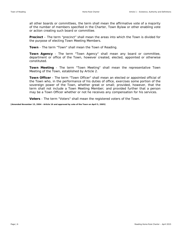all other boards or committees, the term shall mean the affirmative vote of a majority of the number of members specified in the Charter, Town Bylaw or other enabling vote or action creating such board or committee.

**Precinct** – The term "precinct" shall mean the areas into which the Town is divided for the purpose of electing Town Meeting Members.

**Town** - The term "Town" shall mean the Town of Reading.

**Town Agency** - The term "Town Agency" shall mean any board or committee, department or office of the Town, however created, elected, appointed or otherwise constituted.

**Town Meeting** - The term "Town Meeting" shall mean the representative Town Meeting of the Town, established by Article 2.

**Town Officer** - The term "Town Officer" shall mean an elected or appointed official of the Town who, in the performance of his duties of office, exercises some portion of the sovereign power of the Town, whether great or small; provided, however, that the term shall not include a Town Meeting Member; and provided further that a person may be a Town Officer whether or not he receives any compensation for his services.

**Voters** - The term "Voters" shall mean the registered voters of the Town.

**[Amended November 15, 2004 - Article 16 and approved by vote of the Town on April 5, 2005]**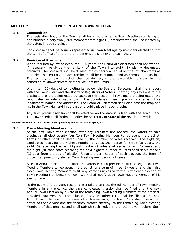# **ARTICLE 2 REPRESENTATIVE TOWN MEETING**

# **2.1 Composition**

The legislative body of the Town shall be a representative Town Meeting consisting of one hundred ninety-two (192) members from eight (8) precincts who shall be elected by the voters in each precinct.

Each precinct shall be equally represented in Town Meetings by members elected so that the term of office of one-third of the members shall expire each year.

# **2.2 Revision of Precincts**

When required by law or every ten (10) years, the Board of Selectmen shall review and, if necessary, re-divide the territory of the Town into eight (8) plainly designated precincts. The precincts shall be divided into as nearly an equal number of inhabitants as possible. The territory of each precinct shall be contiguous and as compact as possible. The territory of each precinct shall be defined, where reasonably possible, by the centerline of known streets or other well-defined limits.

Within ten (10) days of completing its review, the Board of Selectmen shall file a report with the Town Clerk and the Board of Registrars of Voters, showing any revisions to the precincts that are being made pursuant to this section. If revisions are being made, the report shall include a map showing the boundaries of each precinct and a list of its inhabitants' names and addresses. The Board of Selectmen shall also post the map and list in the Town Hall and in at least one public place in each precinct.

Any such precinct revision shall be effective on the date it is filed with the Town Clerk. The Town Clerk shall forthwith notify the Secretary of State of the revision in writing.

**[Amended November 15, 2004 - Article 16 and approved by vote of the Town on April 5, 2005]** 

# **2.3 Town Meeting Membership**

At the first Town wide election after any precincts are revised, the voters of each precinct shall elect twenty-four (24) Town Meeting Members to represent the precinct. Terms of office shall be determined by the number of votes received. The eight (8) candidates receiving the highest number of votes shall serve for three (3) years, the eight (8) receiving the next highest number of votes shall serve for two (2) years, and the eight (8) candidates receiving the next highest number of votes shall serve for one (1) year from the day of election. Upon the certification of such election, the term of office of all previously elected Town Meeting members shall cease.

At each Annual Election thereafter, the voters in each precinct shall elect eight (8) Town Meeting Members to represent the precinct for a term of three (3) years, and shall also elect Town Meeting Members to fill any vacant unexpired terms. After each election of Town Meeting Members, the Town Clerk shall notify each Town Meeting Member of his election in writing.

In the event of a tie vote, resulting in a failure to elect the full number of Town Meeting Members in any precinct, the vacancy created thereby shall be filled until the next Annual Town Election by a vote of the remaining Town Meeting Members of the precinct, provided, however, that the balance of any unexpired term shall be filled at the next Annual Town Election. In the event of such a vacancy, the Town Clerk shall give written notice of the tie vote and the vacancy created thereby, to the remaining Town Meeting Members of that precinct and shall publish such notice in the local news medium. Such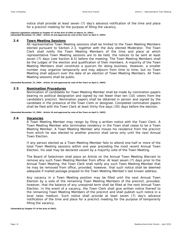notice shall provide at least seven (7) day's advance notification of the time and place for a precinct meeting for the purpose of filling the vacancy.

**[Special Legislation adopted as Chapter 57 of the Acts of 2002 on March 14, 2002] [Amended November 15, 2004 - Article 16 and approved by vote of the Town on April 5, 2005]** 

# **2.4 Town Meeting Sessions**

All representative Town Meeting sessions shall be limited to the Town Meeting Members elected pursuant to Section 2.3, together with the duly elected Moderator. The Town Clerk shall notify the Town Meeting Members of the time and place at which representative Town Meeting sessions are to be held, the notices to be sent at least seven (7) days (see Section 8.5) before the meeting. The Town Meeting Members shall be the judges of the election and qualification of their members. A majority of the Town Meeting Members shall constitute a quorum for doing business. However, a smaller number may organize temporarily and may adjourn from time to time, but no Town Meeting shall adjourn over the date of an election of Town Meeting Members. All Town Meeting sessions shall be public.

**[Amended November 15, 2004 - Article 16 and approved by vote of the Town on April 5, 2005]** 

# **2.5 Nomination Procedures**

Nomination of candidates for Town Meeting Member shall be made by nomination papers bearing no political designation and signed by not fewer than ten (10) voters from the candidate's precinct. Nomination papers shall be obtained in person and signed by the candidate in the presence of the Town Clerk or designee. Completed nomination papers shall be filed with the Town Clerk at least thirty-five days (35) days before the election.

**[Amended November 15, 2004 - Article 16 and approved by vote of the Town on April 5, 2005]** 

# **2.6 Vacancies**

A Town Meeting Member may resign by filing a written notice with the Town Clerk. A Town Meeting Member who terminates residency in the Town shall cease to be a Town Meeting Member. A Town Meeting Member who moves his residence from the precinct from which he was elected to another precinct shall serve only until the next Annual Town Election.

If any person elected as a Town Meeting Member fails to attend one-half or more of the total Town Meeting sessions within one year preceding the most recent Annual Town Election, his seat may be declared vacant by a majority vote of the Town Meeting.

The Board of Selectmen shall place an Article on the Annual Town Meeting Warrant to remove any such Town Meeting Member from office. At least seven (7) days prior to the Annual Town Meeting, the Town Clerk shall notify any such Town Meeting Member that he may be removed from office, provided, however, that such notice shall be deemed adequate if mailed postage prepaid to the Town Meeting Member's last known address.

Any vacancy in a Town Meeting position may be filled until the next Annual Town Election by a vote of the remaining Town Meeting Members of the precinct, provided, however, that the balance of any unexpired term shall be filled at the next Annual Town Election. In the event of a vacancy, the Town Clerk shall give written notice thereof to the remaining Town Meeting Members of the precinct and shall publish such notice in a local news medium. Such notice shall provide at least seven (7) day's advance notification of the time and place for a precinct meeting for the purpose of temporarily filling the vacancy.

**[Amended by Chapter 57 of the Acts of 2002]**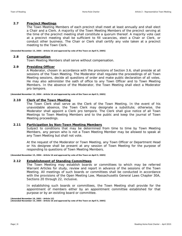# **2.7 Precinct Meetings**

The Town Meeting Members of each precinct shall meet at least annually and shall elect a Chair and a Clerk. A majority of the Town Meeting Members of the precinct serving at the time of the precinct meeting shall constitute a quorum thereof. A majority vote cast at a precinct meeting shall be sufficient to fill vacancies, elect a Chair or Clerk, or conduct other business. The Chair or Clerk shall certify any vote taken at a precinct meeting to the Town Clerk.

**[Amended November 15, 2004 - Article 16 and approved by vote of the Town on April 5, 2005]** 

# **2.8 Compensation**

Town Meeting Members shall serve without compensation.

# **2.9 Presiding Officer**

A Moderator, chosen in accordance with the provisions of Section 3.6, shall preside at all sessions of the Town Meeting. The Moderator shall regulate the proceedings of all Town Meeting sessions, decide all questions of order and make public declaration of all votes. He may also administer the oath of office to any Town Officer and to Town Meeting Members. In the absence of the Moderator, the Town Meeting shall elect a Moderator *pro tempore*.

**[Amended November 15, 2004 - Article 16 and approved by vote of the Town on April 5, 2005]** 

# **2.10 Clerk of the Town Meeting**

The Town Clerk shall serve as the Clerk of the Town Meeting. In the event of his unavoidable absence, the Town Clerk may designate a substitute; otherwise, the Moderator shall appoint a Clerk *pro tempore*. The Clerk shall give notice of all Town Meetings to Town Meeting Members and to the public and keep the journal of Town Meeting proceedings.

# **2.11 Participation by Non-Town Meeting Members**

Subject to conditions that may be determined from time to time by Town Meeting Members, any person who is not a Town Meeting Member may be allowed to speak at any Town Meeting but shall not vote.

At the request of the Moderator or Town Meeting, any Town Officer or Department Head or his designee shall be present at any session of Town Meeting for the purpose of responding to questions of Town Meeting Members.

**[Amended November 15, 2004 - Article 16 and approved by vote of the Town on April 5, 2005]** 

# **2.12 Establishment of Standing Committees**

The Town Meeting may establish boards or committees to which may be referred Warrant Articles for study, review and report in advance of the sessions of the Town Meeting. All meetings of such boards or committees shall be conducted in accordance with the provisions of the Open Meeting Law, Massachusetts General Laws Chapter 30A, Sections 20 through 22, inclusive.

In establishing such boards or committees, the Town Meeting shall provide for the appointment of members either by an appointment committee established for that purpose or by an existing board or committee.

**[Amended November 19, 2001 - Article 12] [Amended November 15, 2004 - Article 16 and approved by vote of the Town on April 5, 2005]**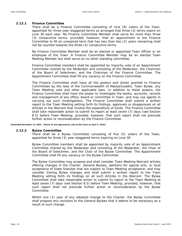# **2.12.1 Finance Committee**

There shall be a Finance Committee consisting of nine (9) voters of the Town, appointed for three-year staggered terms so arranged that three (3) terms expire on June 30 each year. No Finance Committee Member shall serve for more than three (3) consecutive terms; provided, however, that an appointment to the Finance Committee to fill an unexpired term that has less than two (2) years remaining shall not be counted towards the three (3) consecutive terms.

No Finance Committee Member shall be an elected or appointed Town Officer or an employee of the Town. A Finance Committee Member may be an elected Town Meeting Member but shall serve on no other standing committee.

Finance Committee members shall be appointed by majority vote of an Appointment Committee chaired by the Moderator and consisting of the Moderator, the Chairman of the Board of Selectmen, and the Chairman of the Finance Committee. The Appointment Committee shall fill any vacancy on the Finance Committee.

The Finance Committee shall have all the powers and duties granted to Finance Committees by the laws of the Commonwealth of Massachusetts, Town Bylaw, any Town Meeting vote and other applicable laws. In addition to these powers, the Finance Committee shall have the power to investigate the books, accounts, records and management of any office, board or committee in Town, and may use agents in carrying out such investigations. The Finance Committee shall submit a written report to the Town Meeting setting forth its findings, approvals or disapprovals on all Articles in the Warrant that involve the expenditure of funds. The Finance Committee shall take reasonable action to submit its report at least seven (7) days (see Section 8.5) before Town Meeting; provided, however, that such report shall not preclude further action or reconsideration by the Finance Committee.

**[Amended November 15, 2004 - Article 16 and approved by vote of the Town on April 5, 2005]** 

# **2.12.2 Bylaw Committee**

There shall be a Bylaw Committee consisting of five (5) voters of the Town, appointed for three (3) year staggered terms expiring on June 30.

Bylaw Committee members shall be appointed by majority vote of an Appointment Committee chaired by the Moderator and consisting of the Moderator, the Chair of the Board of Selectmen, and the Chair of the Bylaw Committee. The Appointment Committee shall fill any vacancy on the Bylaw Committee.

The Bylaw Committee may propose and shall consider Town Meeting Warrant articles offering changes in the Charter, General Bylaws, petitions for special acts, or local acceptance of State Statutes that are subject to Town Meeting acceptance; and may consider Zoning Bylaw changes and shall submit a written report to the Town Meeting setting forth its findings on all such Articles in the Warrant. The Bylaw Committee shall take reasonable action to submit its report to the Town Meeting at least seven (7) days (see Section 8.5) before Town Meeting; provided, however, that such report shall not preclude further action or reconsideration by the Bylaw Committee.

Within one (1) year of any adopted change to the Charter, the Bylaw Committee shall propose any revisions to the General Bylaws that it deems to be necessary as a result of such change.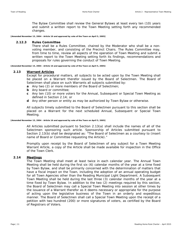The Bylaw Committee shall review the General Bylaws at least every ten (10) years and submit a written report to the Town Meeting setting forth any recommended changes.

**[Amended November 15, 2004 - Article 16 and approved by vote of the Town on April 5, 2005]** 

# **2.12.3 Rules Committee**

There shall be a Rules Committee, chaired by the Moderator who shall be a nonvoting member, and consisting of the Precinct Chairs. The Rules Committee may, from time to time, review all aspects of the operation of Town Meeting and submit a written report to the Town Meeting setting forth its findings, recommendations and proposals for rules governing the conduct of Town Meeting.

**[Amended November 15, 2004 - Article 16 and approved by vote of the Town on April 5, 2005]** 

# **2.13 Warrant Articles**

Except for procedural matters, all subjects to be acted upon by the Town Meeting shall be placed on a Warrant therefor issued by the Board of Selectmen. The Board of Selectmen shall place on such Warrants all subjects submitted by:

**a** Any two (2) or more members of the Board of Selectmen;

- **b** Any board or committee;
- **c** Any ten (10) or more voters for the Annual, Subsequent or Special Town Meeting as defined in Section 2.14; or
- **d** Any other person or entity as may be authorized by Town Bylaw or otherwise.

All subjects timely submitted to the Board of Selectmen pursuant to this section shall be placed on a Warrant for the next scheduled Annual, Subsequent or Special Town Meeting.

**[Amended November 15, 2004 - Article 16 and approved by vote of the Town on April 5, 2005]** 

All Articles submitted pursuant to Section 2.13(a) shall include the names of all of the Selectmen sponsoring such article. Sponsorship of Articles submitted pursuant to Section 2.13(b) shall be designated as: "The Board of Selectmen as a courtesy to (insert name of Board or Committee requesting the Article)."

Promptly upon receipt by the Board of Selectmen of any subject for a Town Meeting Warrant Article, a copy of the Article shall be made available for inspection in the Office of the Town Clerk.

# **2.14 Meetings**

The Town Meeting shall meet at least twice in each calendar year. The Annual Town Meeting shall be held during the first six (6) calendar months of the year at a time fixed by Town Bylaw, and shall be primarily concerned with the determination of matters that have a fiscal impact on the Town, including the adoption of an annual operating budget for all Town Agencies other than the Reading Municipal Light Department. A Subsequent Town Meeting shall be held during the last three (3) calendar months of the year at a time fixed by Town Bylaw. In addition to the two (2) meetings required by this section, the Board of Selectmen may call a Special Town Meeting into session at other times by the issuance of a Warrant therefor as it deems necessary or appropriate for the purpose of acting upon the legislative business of the Town in an orderly and expeditious manner. The Board of Selectmen shall call a Special Town Meeting upon the receipt of a petition with two hundred (200) or more signatures of voters, as certified by the Board of Registrars of Voters.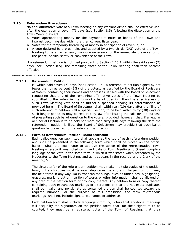# **2.15 Referendum Procedures**

No final affirmative vote of a Town Meeting on any Warrant Article shall be effective until after the expiration of seven (7) days (see Section 8.5) following the dissolution of the Town Meeting except:

- **a** Votes appropriating money for the payment of notes or bonds of the Town and interest becoming due within the then current fiscal year;
- **b** Votes for the temporary borrowing of money in anticipation of revenue; or
- **c** A vote declared by a preamble, and adopted by a two-thirds (2/3) vote of the Town Meeting to be an emergency measure necessary for the immediate preservation of the peace, health, safety or convenience of the Town.

If a referendum petition is not filed pursuant to Section 2.15.1 within the said seven (7) days (see Section 8.5), the remaining votes of the Town Meeting shall then become effective.

**[Amended November 15, 2004 - Article 16 and approved by vote of the Town on April 5, 2005]** 

# **2.15.1 Referendum Petition**

If, within said seven (7) days (see Section 8.5), a referendum petition signed by not fewer than three percent (3%) of the voters, as certified by the Board of Registrars of Voters, containing their names and addresses, is filed with the Board of Selectmen requesting that any of the remaining affirmative votes of the Town Meeting be submitted to the voters in the form of a ballot question, then the effectiveness of such Town Meeting vote shall be further suspended pending its determination as provided herein. The Board of Selectmen shall, within ten (10) days after the filing of such referendum petition, call a Special Election, to be held within thirty (30) days or such longer period as may be required by law after issuing the call, for the purpose of presenting such ballot question to the voters; provided, however, that, if a regular or Special Election is to be held not more than sixty (60) days following the date the referendum petition is filed, the Board of Selectmen may provide that such ballot question be presented to the voters at that Election.

# **2.15.2 Form of Referendum Petition/Ballot Question**

Each ballot question submitted shall appear at the top of each referendum petition and shall be presented in the following form which shall be placed on the official ballot: "Shall the Town vote to approve the action of the representative Town Meeting whereby it was voted on (insert date of Town Meeting) to (insert complete language of the vote in the same form in which it was stated when presented by the Moderator to the Town Meeting, and as it appears in the records of the Clerk of the meeting)"?

The circulator(s) of the referendum petition may make multiple copies of the petition form, but such copies must be exact duplicates thereof, and the petition form may not be altered in any way. No extraneous markings, such as underlines, highlighting, erasures, marking out or insertion of words or other information, shall be allowed on any area of the petition form or any copy thereof. Any petition form or copy thereof containing such extraneous markings or alterations or that are not exact duplicates shall be invalid, and no signatures contained thereon shall be counted toward the required number. For the purpose of this prohibition, the term "extraneous markings" shall not include signatures, names or addresses.

Each petition form shall include language informing voters that additional markings will disqualify the signatures on the petition form; that, for their signature to be counted, they must be a registered voter of the Town of Reading; that their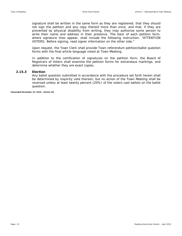signature shall be written in the same form as they are registered; that they should not sign the petition and any copy thereof more than once; and that, if they are prevented by physical disability from writing, they may authorize some person to write their name and address in their presence. The back of each petition form, where signature lines appear, shall include the following instruction: "ATTENTION VOTERS: Before signing, read signer information on the other side."

Upon request, the Town Clerk shall provide Town referendum petition/ballot question forms with the final article language voted at Town Meeting.

In addition to the certification of signatures on the petition form, the Board of Registrars of Voters shall examine the petition forms for extraneous markings, and determine whether they are exact copies.

# **2.15.3 Election**

Any ballot question submitted in accordance with the procedure set forth herein shall be determined by majority vote thereon, but no action of the Town Meeting shall be reversed unless at least twenty percent (20%) of the voters cast ballots on the ballot question.

**[Amended November 15, 2010 - Article 16]**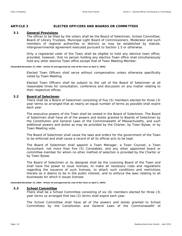# **ARTICLE 3 ELECTED OFFICERS AND BOARDS OR COMMITTEES**

# **3.1 General Provisions**

The offices to be filled by the voters shall be the Board of Selectmen, School Committee, Board of Library Trustees, Municipal Light Board of Commissioners, Moderator and such members of regional authorities or districts as may be established by statute, intergovernmental agreement executed pursuant to Section 1.5 or otherwise.

Only a registered voter of the Town shall be eligible to hold any elective town office; provided, however, that no person holding any elective Town office shall simultaneously hold any other elective Town office except that of Town Meeting Member.

**[Amended November 15, 2004 - Article 16 and approved by vote of the Town on April 5, 2005]** 

Elected Town Officers shall serve without compensation unless otherwise specifically voted by Town Meeting.

Elected Town Officers shall be subject to the call of the Board of Selectmen at all reasonable times for consultation, conference and discussion on any matter relating to their respective offices.

# **3.2 Board of Selectmen**

There shall be a Board of Selectmen consisting of five (5) members elected for three (3) year terms so arranged that as nearly an equal number of terms as possible shall expire each year.

The executive powers of the Town shall be vested in the Board of Selectmen. The Board of Selectmen shall have all of the powers and duties granted to Boards of Selectmen by the Constitution and General Laws of the Commonwealth of Massachusetts, and such additional powers and duties as may be provided by the Charter, by Town Bylaw, or by Town Meeting vote.

The Board of Selectmen shall cause the laws and orders for the government of the Town to be enforced and shall cause a record of all its official acts to be kept.

The Board of Selectmen shall appoint a Town Manager, a Town Counsel, a Town Accountant, not more than five (5) Constables, and any other appointed board or committee member for whom no other method of selection is provided by the Charter or by Town Bylaw.

The Board of Selectmen or its designee shall be the Licensing Board of the Town and shall have the power to issue licenses, to make all necessary rules and regulations regarding the issuance of such licenses, to attach such conditions and restrictions thereto as it deems to be in the public interest, and to enforce the laws relating to all businesses for which it issues licenses

**[Amended November 15, 2004 - Article 16 and approved by vote of the Town on April 5, 2005]** 

# **3.3 School Committee**

There shall be a School Committee consisting of six (6) members elected for three (3) year terms so arranged that two (2) terms shall expire each year.

The School Committee shall have all of the powers and duties granted to School Committees by the Constitution and General Laws of the Commonwealth of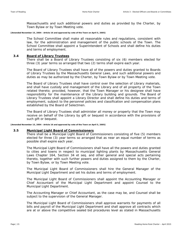Massachusetts and such additional powers and duties as provided by the Charter, by Town Bylaw or by Town Meeting vote.

**[Amended November 15, 2004 - Article 16 and approved by vote of the Town on April 5, 2005]** 

The School Committee shall make all reasonable rules and regulations, consistent with law, for the administration and management of the public schools of the Town. The School Committee shall appoint a Superintendent of Schools and shall define his duties and terms of employment.

# **3.4 Board of Library Trustees**

There shall be a Board of Library Trustees consisting of six (6) members elected for three (3) year terms so arranged that two (2) terms shall expire each year.

The Board of Library Trustees shall have all of the powers and duties granted to Boards of Library Trustees by the Massachusetts General Laws, and such additional powers and duties as may be authorized by the Charter, by Town Bylaw or by Town Meeting vote.

The Board of Library Trustees shall have control over the selection of Library materials, and shall have custody and management of the Library and of all property of the Town related thereto; provided, however, that the Town Manager or his designee shall have responsibility for the maintenance of the Library building and grounds. The Board of Library Trustees shall appoint a Library Director and shall define his duties and terms of employment, subject to the personnel policies and classification and compensation plans established by the Board of Selectmen.

The Board of Library Trustees shall administer all money or property that the Town may receive on behalf of the Library by gift or bequest in accordance with the provisions of such gift or bequest.

**[Amended November 15, 2004 - Article 16 and approved by vote of the Town on April 5, 2005]** 

# **3.5 Municipal Light Board of Commissioners**

There shall be a Municipal Light Board of Commissioners consisting of five (5) members elected for three (3) year terms so arranged that as near an equal number of terms as possible shall expire each year.

The Municipal Light Board of Commissioners shall have all the powers and duties granted to cities and towns in respect to municipal lighting plants by Massachusetts General Laws Chapter 164, Section 34 *et seq*. and other general and special acts pertaining thereto, together with such further powers and duties assigned to them by the Charter, by Town Bylaw, or by Town Meeting vote.

The Municipal Light Board of Commissioners shall hire the General Manager of the Municipal Light Department and set his duties and terms of employment.

The Municipal Light Board of Commissioners shall appoint the Accounting Manager or Chief Accountant of the Municipal Light Department and appoint Counsel to the Municipal Light Department.

The Accounting Manager or Chief Accountant, as the case may be, and Counsel shall be subject to the supervision of the General Manager.

The Municipal Light Board of Commissioners shall approve warrants for payments of all bills and payroll of the Municipal Light Department and shall approve all contracts which are at or above the competitive sealed bid procedures level as stated in Massachusetts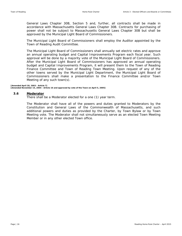General Laws Chapter 30B, Section 5 and, further, all contracts shall be made in accordance with Massachusetts General Laws Chapter 30B. Contracts for purchasing of power shall not be subject to Massachusetts General Laws Chapter 30B but shall be approved by the Municipal Light Board of Commissioners.

The Municipal Light Board of Commissioners shall employ the Auditor appointed by the Town of Reading Audit Committee.

The Municipal Light Board of Commissioners shall annually set electric rates and approve an annual operating budget and Capital Improvements Program each fiscal year. Such approval will be done by a majority vote of the Municipal Light Board of Commissioners. After the Municipal Light Board of Commissioners has approved an annual operating budget and Capital Improvements Program, it will present them to the Town of Reading Finance Committee and Town of Reading Town Meeting. Upon request of any of the other towns served by the Municipal Light Department, the Municipal Light Board of Commissioners shall make a presentation to the Finance Committee and/or Town Meeting of any such town(s).

**[Amended April 28, 2003 - Article 7] [Amended November 15, 2004 - Article 16 and approved by vote of the Town on April 5, 2005]** 

# **3.6 Moderator**

There shall be a Moderator elected for a one (1) year term.

The Moderator shall have all of the powers and duties granted to Moderators by the Constitution and General Laws of the Commonwealth of Massachusetts, and such additional powers and duties as provided by the Charter, by Town Bylaw or by Town Meeting vote. The Moderator shall not simultaneously serve as an elected Town Meeting Member or in any other elected Town office.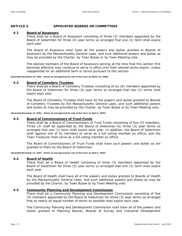# **ARTICLE 4 APPOINTED BOARDS OR COMMITTEES**

# **4.1 Board of Assessors**

There shall be a Board of Assessors consisting of three (3) members appointed by the Board of Selectmen for three (3) year terms so arranged that one (1) term shall expire each year.

The Board of Assessors shall have all the powers and duties granted to Boards of Assessors by the Massachusetts General Laws, and such additional powers and duties as may be provided by the Charter, by Town Bylaw or by Town Meeting vote.

The elected members of the Board of Assessors serving at the time that this section first becomes effective may continue to serve in office until their elected terms expire, unless reappointed for an additional term or terms pursuant to this section.

**[Amended November 30, 1989 - Article 36 and approved by vote of the Town on March 19, 1990]** 

# **4.2 Board of Cemetery Trustees**

There shall be a Board of Cemetery Trustees consisting of six (6) members appointed by the Board of Selectmen for three (3) year terms so arranged that two (2) terms shall expire each year.

The Board of Cemetery Trustees shall have all the powers and duties granted to Boards of Cemetery Trustees by the Massachusetts General Laws, and such additional powers and duties as may be provided by the Charter, by Town Bylaw or by Town Meeting vote.

**[Amended November 15, 2004 - Article 16 and approved by vote of the Town on April 5, 2005]** 

# **4.3 Board of Commissioners of Trust Funds**

There shall be a Board of Commissioners of Trust Funds consisting of five (5) members. Three (3) shall be appointed by the Board of Selectmen for three (3) year terms so arranged that one (1) term shall expire each year. In addition, the Board of Selectmen shall appoint one of its members to serve as a full voting member *ex officio*, and the Town Treasurer shall serve as a full voting member *ex officio*.

The Board of Commissioners of Trust Funds shall have such powers and duties as are granted to them by the Board of Selectmen.

**[Amended November 15, 2004 - Article 16 and approved by vote of the Town on April 5, 2005]** 

# **4.4 Board of Health**

There shall be a Board of Health consisting of three (3) members appointed by the Board of Selectmen for three (3) year terms so arranged that one (1) term shall expire each year.

The Board of Health shall have all of the powers and duties granted to Boards of Health by the Massachusetts General Laws, and such additional powers and duties as may be provided by the Charter, by Town Bylaw or by Town Meeting vote.

# **4.5 Community Planning and Development Commission**

There shall be a Community Planning and Development Commission consisting of five (5) members appointed by the Board of Selectmen for three (3) year terms so arranged that as nearly an equal number of terms as possible shall expire each year.

The Community Planning and Development Commission shall have all of the powers and duties granted to Planning Boards, Boards of Survey and Industrial Development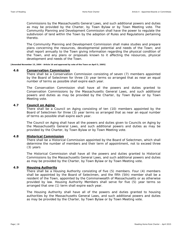Commissions by the Massachusetts General Laws, and such additional powers and duties as may be provided by the Charter, by Town Bylaw or by Town Meeting vote. The Community Planning and Development Commission shall have the power to regulate the subdivision of land within the Town by the adoption of Rules and Regulations pertaining thereto.

The Community Planning and Development Commission shall make studies and prepare plans concerning the resources, developmental potential and needs of the Town; and shall report annually to the Town giving information regarding the physical condition of the Town, and any plans or proposals known to it affecting the resources, physical development and needs of the Town.

**[Amended November 15, 2004 - Article 16 and approved by vote of the Town on April 5, 2005]** 

# **4.6 Conservation Commission**

There shall be a Conservation Commission consisting of seven (7) members appointed by the Board of Selectmen for three (3) year terms so arranged that as near an equal number of terms as possible shall expire each year.

The Conservation Commission shall have all the powers and duties granted to Conservation Commissions by the Massachusetts General Laws, and such additional powers and duties as may be provided by the Charter, by Town Bylaw or by Town Meeting vote.

# **4.7 Council on Aging**

There shall be a Council on Aging consisting of ten (10) members appointed by the Board of Selectmen for three (3) year terms so arranged that as near an equal number of terms as possible shall expire each year.

The Council on Aging shall have all the powers and duties given to Councils on Aging by the Massachusetts General Laws, and such additional powers and duties as may be provided by the Charter, by Town Bylaw or by Town Meeting vote.

# **4.8 Historical Commission**

There shall be a Historical Commission appointed by the Board of Selectmen, which shall determine the number of members and their term of appointment, not to exceed three (3) years

The Historical Commission shall have all the powers and duties granted to Historical Commissions by the Massachusetts General Laws, and such additional powers and duties as may be provided by the Charter, by Town Bylaw or by Town Meeting vote.

# **4.9 Housing Authority**

There shall be a Housing Authority consisting of five (5) members. Four (4) members shall be appointed by the Board of Selectmen, and the fifth (5th) member shall be a resident of the Town, appointed by the Commonwealth of Massachusetts or as otherwise provided by law. Housing Authority Members shall serve for five (5) year terms so arranged that one (1) term shall expire each year.

The Housing Authority shall have all of the powers and duties granted to housing authorities by the Massachusetts General Laws, and such additional powers and duties as may be provided by the Charter, by Town Bylaw or by Town Meeting vote.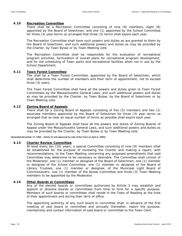# **4.10 Recreation Committee**

There shall be a Recreation Committee consisting of nine (9) members, eight (8) appointed by the Board of Selectmen, and one (1) appointed by the School Committee for three (3) year terms so arranged that three (3) terms shall expire each year.

The Recreation Committee shall have such powers and duties as are granted to them by the Board of Selectmen, and such additional powers and duties as may be provided by the Charter, by Town Bylaw or by Town Meeting vote.

The Recreation Committee shall be responsible for the evaluation of recreational program activities, formulation of overall plans for recreational program development, and for the scheduling of Town parks and recreational facilities when not in use by the School Department.

# **4.11 Town Forest Committee**

The shall be a Town Forest Committee, appointed by the Board of Selectmen, which shall determine the number of members and their term of appointment, not to exceed three (3) years.

The Town Forest Committee shall have all the powers and duties given to Town Forest Committees by the Massachusetts General Laws, and such additional powers and duties as may be provided by the Charter, by Town Bylaw, by the Board of Selectmen or by Town Meeting vote.

# **4.12 Zoning Board of Appeals**

There shall be a Zoning Board of Appeals consisting of five (5) members and two (2) associate members appointed by the Board of Selectmen for three (3) year terms so arranged that as near an equal number of terms as possible shall expire each year.

The Zoning Board of Appeals shall have all the powers and duties of Zoning Boards of Appeal under the Massachusetts General Laws, and such additional powers and duties as may be provided by the Charter, by Town Bylaw or by Town Meeting vote.

**[Amended November 17, 2005 - Article 22 and approved by vote of the Town on April 4, 2006]** 

# **4.13 Charter Review Committee**

At least every ten (10) years, a special Committee consisting of nine (9) members shall be established for the purpose of reviewing the Charter and making a report, with recommendations, to the Town Meeting concerning any proposed amendments that said Committee may determine to be necessary or desirable. The Committee shall consist of the Moderator, one (1) member or designee of the Board of Selectmen, one (1) member or designee of the School Committee, one (1) member or designee of the Board of Library Trustees, one (1) member or designee, of the Municipal Light Board of Commissioners, one (1) member of the Bylaw Committee and three (3) Town Meeting members to be appointed by the Moderator.

# **4.14 Other Boards or Committees**

Any of the elected boards or committees authorized by Article 3 may establish and appoint or dissolve boards or committees from time to time for a specific purpose. Members of such boards or committees shall reside in the Town of Reading at the time of their appointment and during their term of office.

The appointing authority of any such board or committee shall, in advance of the first meeting of said board or committee and annually thereafter, report the purpose, membership and contact information of said board or committee to the Town Clerk.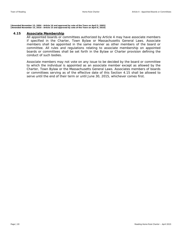**[Amended November 15, 2004 - Article 16 and approved by vote of the Town on April 5, 2005] [Amended November 15, 2010 - Article 15 and approved by vote of the Town on April 6, 2010]** 

# **4.15 Associate Membership**

All appointed boards or committees authorized by Article 4 may have associate members if specified in the Charter, Town Bylaw or Massachusetts General Laws. Associate members shall be appointed in the same manner as other members of the board or committee. All rules and regulations relating to associate membership on appointed boards or committees shall be set forth in the Bylaw or Charter provision defining the conduct of such bodies.

Associate members may not vote on any issue to be decided by the board or committee to which the individual is appointed as an associate member except as allowed by the Charter, Town Bylaw or the Massachusetts General Laws. Associates members of boards or committees serving as of the effective date of this Section 4.15 shall be allowed to serve until the end of their term or until June 30, 2015, whichever comes first.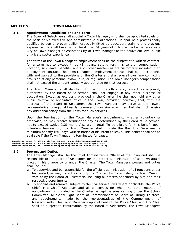# **ARTICLE 5 TOWN MANAGER**

# **5.1 Appointment, Qualifications and Term**

The Board of Selectmen shall appoint a Town Manager, who shall be appointed solely on the basis of his executive and administrative qualifications. He shall be a professionally qualified person of proven ability, especially fitted by education, training and previous experience. He shall have had at least five (5) years of full-time paid experience as a City or Town Manager or Assistant City or Town Manager or the equivalent level public or private sector experience.

The terms of the Town Manager's employment shall be the subject of a written contract, for a term not to exceed three (3) years, setting forth his tenure, compensation, vacation, sick leave, benefits, and such other matters as are customarily included in an employment contract. The Town Manager's employment contract shall be in accordance with and subject to the provisions of the Charter and shall prevail over any conflicting provision of any personnel bylaw, rule, or regulation. The Town Manager's compensation shall not exceed the amount annually appropriated for that purpose.

The Town Manager shall devote full time to his office and, except as expressly authorized by the Board of Selectmen, shall not engage in any other business or occupation. Except as expressly provided in the Charter, he shall not hold any other public elective or appointive office in the Town; provided, however, that, with the approval of the Board of Selectmen, the Town Manager may serve as the Town's representative to regional boards, commissions or similar entities, but shall not receive any additional salary from the Town for such services.

Upon the termination of the Town Manager's appointment, whether voluntary or otherwise, he may receive termination pay as determined by the Board of Selectmen, not to exceed twelve (12) months' salary in total. To be eligible for this benefit upon voluntary termination, the Town Manager shall provide the Board of Selectmen a minimum of sixty (60) days written notice of his intent to leave. This benefit shall not be available if the Town Manager is terminated for cause.

[Amended November 10, 1997 - Article 7 and approved by vote of the Town on March 24, 1998]<br>[Amended November 15, 2004 - Article 16 and approved by vote of the Town on April 5, 2005]<br>[Amended November 21, 2011 - Article 28

# **5.2 Powers and Duties**

The Town Manager shall be the Chief Administrative Officer of the Town and shall be responsible to the Board of Selectmen for the proper administration of all Town affairs placed in his charge by or under the Charter. The Town Manager's powers and duties shall include:

- **a** To supervise and be responsible for the efficient administration of all functions under his control, as may be authorized by the Charter, by Town Bylaw, by Town Meeting vote or by the Board of Selectmen, including all officers appointed by him and their respective departments.
- **b** To appoint and remove, subject to the civil service laws where applicable, the Police Chief, Fire Chief, Appraiser and all employees for whom no other method of appointment is provided in the Charter, except persons serving under the School Committee, Municipal Light Board of Commissioners or Board of Library Trustees, and appointments made by the representatives of the Commonwealth of Massachusetts. The Town Manager's appointment of the Police Chief and Fire Chief shall be subject to confirmation by the Board of Selectmen. The Town Manager's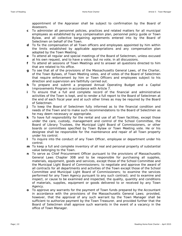appointment of the Appraiser shall be subject to confirmation by the Board of Assessors.

- **c** To administer all personnel policies, practices and related matters for all municipal employees as established by any compensation plan, personnel policy guide or Town Bylaw, and all collective bargaining agreements entered into by the Board of Selectmen on behalf of the Town.
- **d** To fix the compensation of all Town officers and employees appointed by him within the limits established by applicable appropriations and any compensation plan adopted by the Town Meeting.
- **e** To attend all regular and special meetings of the Board of Selectmen, unless excused at his own request, and to have a voice, but no vote, in all discussions.
- **f** To attend all sessions of Town Meetings and to answer all questions directed to him that are related to his office.
- **g** To see that all of the provisions of the Massachusetts General Laws, of the Charter, of the Town Bylaws, of Town Meeting votes, and of votes of the Board of Selectmen that require enforcement by him or Town Officers and employees subject to his direction and supervision are faithfully carried out.
- **h** To prepare and submit a proposed Annual Operating Budget and a Capital Improvements Program in accordance with Article 7.
- **i** To ensure that a full and complete record of the financial and administrative activities of the Town is kept, and to render a full report to the Board of Selectmen at the end of each fiscal year and at such other times as may be required by the Board of Selectmen.
- **j** To keep the Board of Selectmen fully informed as to the financial condition and needs of the Town and to make such recommendations to the Board of Selectmen as he may deem necessary or appropriate.
- **k** To have full responsibility for the rental and use of all Town facilities, except those under the care, custody, management and control of the School Committee, the Board of Library Trustees, the Municipal Light Board of Commissioners, or other boards or committees specified by Town Bylaw or Town Meeting vote. He or his designee shall be responsible for the maintenance and repair of all Town property under his control.
- **l** To inquire into the conduct of any Town Officer, employee or department under his control.
- **m** To keep a full and complete inventory of all real and personal property of substantial value belonging to the Town.
- **n** To serve as Chief Procurement Officer pursuant to the provisions of Massachusetts General Laws Chapter 30B and to be responsible for purchasing all supplies, materials, equipment, goods and services, except those of the School Committee and the Municipal Light Board of Commissioners; to negotiate and approve the award of all contracts for all departments and activities of the Town except those of the School Committee and Municipal Light Board of Commissioners; to examine the services performed for any Town Agency pursuant to any such contract; and to examine and inspect, or cause to be examined and inspected, the quality, quantity and conditions of materials, supplies, equipment or goods delivered to or received by any Town Agency.
- **o** To approve any warrants for the payment of Town funds prepared by the Accountant in accordance with the provisions of the Massachusetts General Laws; provided, however, that the approval of any such warrant by the Town Manager shall be sufficient to authorize payment by the Town Treasurer, and provided further that the Board of Selectmen shall approve such warrants in the event of a vacancy in the office of Town Manager.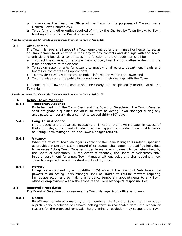- **p** To serve as the Executive Officer of the Town for the purposes of Massachusetts General Laws Chapter 258.
- **q** To perform any other duties required of him by the Charter, by Town Bylaw, by Town Meeting vote or by the Board of Selectmen.

**[Amended November 15, 2004 - Article 16 and approved by vote of the Town on April 5, 2005]** 

# **5.3 Ombudsman**

The Town Manager shall appoint a Town employee other than himself or herself to act as an Ombudsman to all citizens in their day-to-day contacts and dealings with the Town, its officials and boards or committees. The function of the Ombudsman shall be:

- **a** To direct the citizens to the proper Town Officer, board or committee to deal with the issue or concern of the citizen;
- **b** To set up appointments for citizens to meet with directors, department heads and boards or committees as appropriate;
- **c** To provide citizens with access to public information within the Town; and
- **d** To otherwise serve the public in connection with their dealings with the Town.

The office of the Town Ombudsman shall be clearly and conspicuously marked within the Town Hall.

**[Amended November 15, 2004 - Article 16 and approved by vote of the Town on April 5, 2005]** 

# **5.4 Acting Town Manager**

# **5.4.1 Temporary Absence**

By letter filed with the Town Clerk and the Board of Selectmen, the Town Manager shall designate a qualified individual to serve as Acting Town Manager during any anticipated temporary absence, not to exceed thirty (30) days.

# **5.4.2 Long-Term Absence**

In the event of the absence, incapacity or illness of the Town Manager in excess of thirty (30) days, the Board of Selectmen shall appoint a qualified individual to serve as Acting Town Manager until the Town Manager returns.

# **5.4.3 Vacancy**

When the office of Town Manager is vacant or the Town Manager is under suspension as provided in Section 5.5, the Board of Selectmen shall appoint a qualified individual to serve as Acting Town Manager under terms of employment to be determined by the Board of Selectmen. In the event of vacancy, the Board of Selectmen shall initiate recruitment for a new Town Manager without delay and shall appoint a new Town Manager within one hundred eighty (180) days.

# **5.4.4 Powers**

Except as authorized by a four-fifths (4/5) vote of the Board of Selectmen, the powers of an Acting Town Manager shall be limited to routine matters requiring immediate action and to making emergency temporary appointments to any Town office or employment within the scope of the Town Manager's responsibilities.

# **5.5 Removal Procedures**

The Board of Selectmen may remove the Town Manager from office as follows:

# **5.5.1 Notice**

By affirmative vote of a majority of its members, the Board of Selectmen may adopt a preliminary resolution of removal setting forth in reasonable detail the reason or reasons for the proposed removal. The preliminary resolution may suspend the Town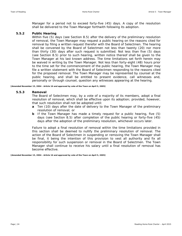Manager for a period not to exceed forty-five (45) days. A copy of the resolution shall be delivered to the Town Manager forthwith following its adoption.

# **5.5.2 Public Hearing**

Within five (5) days (see Section 8.5) after the delivery of the preliminary resolution of removal, the Town Manager may request a public hearing on the reasons cited for removal by filing a written request therefor with the Board of Selectmen. The hearing shall be convened by the Board of Selectmen not less than twenty (20) nor more than thirty (30) days after such request is submitted. Not less than five (5) days (see Section 8.5) prior to such hearing, written notice thereof shall be given to the Town Manager at his last known address. The time limitations set forth herein may be waived in writing by the Town Manager. Not less than forty-eight (48) hours prior to the time set for the commencement of the public hearing, the Town Manager may file a written statement with the Board of Selectmen responding to the reasons cited for the proposed removal. The Town Manager may be represented by counsel at the public hearing, and shall be entitled to present evidence, call witnesses and, personally or through counsel, question any witnesses appearing at the hearing.

**[Amended November 15, 2004 - Article 16 and approved by vote of the Town on April 5, 2005]** 

# **5.5.3 Removal**

The Board of Selectmen may, by a vote of a majority of its members, adopt a final resolution of removal, which shall be effective upon its adoption; provided, however, that such resolution shall not be adopted until:

- **a** Ten (10) days after the date of delivery to the Town Manager of the preliminary resolution of removal; or
- **b** If the Town Manager has made a timely request for a public hearing, five (5) days (see Section 8.5) after completion of the public hearing or forty-five (45) days after the adoption of the preliminary resolution, whichever occurs later.

Failure to adopt a final resolution of removal within the time limitations provided in this section shall be deemed to nullify the preliminary resolution of removal. The action of the Board of Selectmen in suspending or removing the Town Manager shall be final, it being the intention of this provision to vest all authority and fix all responsibility for such suspension or removal in the Board of Selectmen. The Town Manager shall continue to receive his salary until a final resolution of removal has become effective.

**[Amended November 15, 2004 - Article 16 and approved by vote of the Town on April 5, 2005]**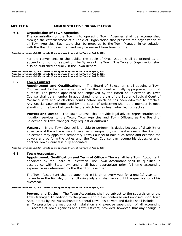# **ARTICLE 6 ADMINISTRATIVE ORGANIZATION**

# **6.1 Organization of Town Agencies**

The organization of the Town into operating Town Agencies shall be accomplished through the establishment of a Table of Organization that presents the organization of all Town Agencies. Such table shall be prepared by the Town Manager in consultation with the Board of Selectmen and may be revised from time to time.

**[Amended November 17, 2011 - Article 20 and approved by vote of the Town on April 5, 2011]** 

For the convenience of the public, the Table of Organization shall be printed as an appendix to, but not as part of, the Bylaws of the Town. The Table of Organization shall also be published annually in the Town Report.

**[Amended November 15, 2004 - Article 16 and approved by vote of the Town on April 5, 2005] [Amended November 17, 2011 - Article 20 and approved by vote of the Town on April 5, 2011] [Amended November 15, 2004 - Article 16 and approved by vote of the Town on April 5, 2005]** 

# **6.2 Town Counsel**

**Appointment and Qualifications** – The Board of Selectmen shall appoint a Town Counsel and fix his compensation within the amount annually appropriated for that purpose. The person appointed and employed by the Board of Selectmen as Town Counsel shall be a member in good standing of the bar of the Supreme Judicial Court of Massachusetts and of all other courts before which he has been admitted to practice. Any Special Counsel employed by the Board of Selectmen shall be a member in good standing of the bar of all courts before which he has been admitted to practice.

**Powers and Duties** – The Town Counsel shall provide legal advice, representation and litigation services to the Town, Town Agencies and Town Officers, as the Board of Selectmen or Town Manager may request or authorize.

**Vacancy** – If the Town Counsel is unable to perform his duties because of disability or absence or if the office is vacant because of resignation, dismissal or death, the Board of Selectmen may appoint a temporary Town Counsel to hold such office and exercise the powers and perform the duties until the Town Counsel can resume his duties, or until another Town Counsel is duly appointed.

**[Amended November 15, 2004 - Article 16 and approved by vote of the Town on April 5, 2005]** 

# **6.3 Town Accountant**

**Appointment, Qualification and Term of Office** – There shall be a Town Accountant, appointed by the Board of Selectmen. The Town Accountant shall be qualified in accordance with State law, and shall have appropriate prior full time accounting experience as determined by the Board of Selectmen.

The Town Accountant shall be appointed in March of every year for a one (1) year term to run from the first day of the following July and shall serve until the qualification of his successor.

**[Amended November 15, 2004 - Article 16 and approved by vote of the Town on April 5, 2005]** 

**Powers and Duties** – The Town Accountant shall be subject to the supervision of the Town Manager. In addition to the powers and duties conferred and imposed upon Town Accountants by the Massachusetts General Laws, his powers and duties shall include:

**a** To prescribe the methods of installation and exercise supervision of all accounting records of Town Agencies and Town Officers; provided, however, that any change in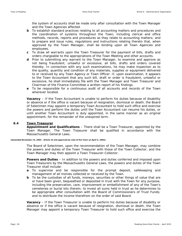the system of accounts shall be made only after consultation with the Town Manager and the Town Agencies affected.

- **b** To establish standard practices relating to all accounting matters and procedures and the coordination of systems throughout the Town, including clerical and office methods, records, reports and procedures as they relate to accounting matters; and to prepare and issue rules, regulations and instructions relating thereto that, when approved by the Town Manager, shall be binding upon all Town Agencies and employees.
- **c** To draw all warrants upon the Town Treasurer for the payment of bills, drafts and orders chargeable to the appropriations of the Town Meeting and other accounts.
- **d** Prior to submitting any warrant to the Town Manager, to examine and approve as not being fraudulent, unlawful or excessive, all bills, drafts and orders covered thereby. In connection with any such examinations, he may make inspection as to the quality, quantity and condition of any materials, supplies or equipment delivered to or received by any Town Agency or Town Officer. If, upon examination, it appears to the Town Accountant that any such bill, draft or order is fraudulent, unlawful or excessive, he shall immediately file with the Town Manager and Town Treasurer and Chairman of the Finance Committee a written report of his findings.
- **e** To be responsible for a continuous audit of all accounts and records of the Town wherever located.

**Vacancy** – If the Town Accountant is unable to perform his duties because of disability or absence or if the office is vacant because of resignation, dismissal or death, the Board of Selectmen may appoint a temporary Town Accountant to hold such office and exercise the powers and perform the duties until the Town Accountant can resume his duties, or until another Town Accountant is duly appointed, in the same manner as an original appointment, for the remainder of the unexpired term.

# **6.4 Town Treasurer**

**Appointment and Qualifications** – There shall be a Town Treasurer, appointed by the Town Manager. The Town Treasurer shall be qualified in accordance with the Massachusetts General Laws.

**[Amended November 15, 2004 - Article 16 and approved by vote of the Town on April 5, 2005]** 

The Board of Selectmen, upon the recommendation of the Town Manager, may combine the powers and duties of the Town Treasurer with those of the Town Collector, and the Town Manager may then appoint a Town Treasurer-Collector.

**Powers and Duties** – In addition to the powers and duties conferred and imposed upon Town Treasurers by the Massachusetts General Laws, the powers and duties of the Town Treasurer shall include:

- **a** To supervise and be responsible for the prompt deposit, safekeeping and management of all monies collected or received by the Town.
- **b** To be the custodian of all funds, moneys, securities or other things of value that are or have been given, bequeathed or deposited in trust with the Town for any purpose, including the preservation, care, improvement or embellishment of any of the Town's cemeteries or burial lots therein; to invest all sums held in trust as he determines to be appropriate after consultation with the Board of Commissioners of Trust Funds; and to distribute the income therefrom on the order of said Board.

**Vacancy** – If the Town Treasurer is unable to perform his duties because of disability or absence or if the office is vacant because of resignation, dismissal or death, the Town Manager may appoint a temporary Town Treasurer to hold such office and exercise the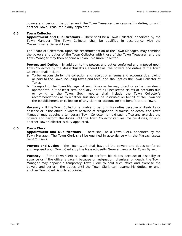powers and perform the duties until the Town Treasurer can resume his duties, or until another Town Treasurer is duly appointed.

# **6.5 Town Collector**

**Appointment and Qualifications** – There shall be a Town Collector, appointed by the Town Manager. The Town Collector shall be qualified in accordance with the Massachusetts General Laws.

The Board of Selectmen, upon the recommendation of the Town Manager, may combine the powers and duties of the Town Collector with those of the Town Treasurer, and the Town Manager may then appoint a Town Treasurer-Collector.

**Powers and Duties** – In addition to the powers and duties conferred and imposed upon Town Collectors by the Massachusetts General Laws, the powers and duties of the Town Collector shall include:

- **a** To be responsible for the collection and receipt of all sums and accounts due, owing or paid to the Town including taxes and fees, and shall act as the Town Collector of Taxes.
- **b** To report to the Town Manager at such times as he may direct or as he may deem appropriate, but at least semi-annually, as to all uncollected claims or accounts due or owing to the Town. Such reports shall include the Town Collector's recommendations as to whether suit should be instituted on behalf of the Town for the establishment or collection of any claim or account for the benefit of the Town.

**Vacancy** – If the Town Collector is unable to perform his duties because of disability or absence or if the office is vacant because of resignation, dismissal or death, the Town Manager may appoint a temporary Town Collector to hold such office and exercise the powers and perform the duties until the Town Collector can resume his duties, or until another Town Collector is duly appointed.

# **6.6 Town Clerk**

**Appointment and Qualifications** – There shall be a Town Clerk, appointed by the Town Manager. The Town Clerk shall be qualified in accordance with the Massachusetts General Laws.

**Powers and Duties** – The Town Clerk shall have all the powers and duties conferred and imposed upon Town Clerks by the Massachusetts General Laws or by Town Bylaw.

**Vacancy** – If the Town Clerk is unable to perform his duties because of disability or absence or if the office is vacant because of resignation, dismissal or death, the Town Manager may appoint a temporary Town Clerk to hold such office and exercise the powers and perform the duties until the Town Clerk can resume his duties, or until another Town Clerk is duly appointed.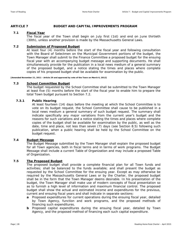# **ARTICLE 7 BUDGET AND CAPITAL IMPROVEMENTS PROGRAM**

# **7.1 Fiscal Year**

The fiscal year of the Town shall begin on July first (1st) and end on June thirtieth (30th), unless another provision is made by the Massachusetts General Laws.

# **7.2 Submission of Proposed Budget**

At least four (4) months before the start of the fiscal year and following consultation with the Board of Selectmen on the Municipal Government portions of the budget, the Town Manager shall submit to the Finance Committee a proposed budget for the ensuing fiscal year with an accompanying budget message and supporting documents. He shall simultaneously provide for the publication in a local news medium of a general summary of the proposed budget, and a notice stating the times and places where complete copies of his proposed budget shall be available for examination by the public.

**[Amended November 21, 2011 - Article 29 and approved by vote of the Town on March 6, 2012]** 

# **7.3 School Committee Budget**

The budget requested by the School Committee shall be submitted to the Town Manager at least five (5) months before the start of the fiscal year to enable him to prepare the total Town budget pursuant to Section 7.2.

# **7.3.1 Public Hearing**

At least fourteen (14) days before the meeting at which the School Committee is to vote on its budget request, the School Committee shall cause to be published in a local news medium a general summary of such budget request. The summary shall indicate specifically any major variations from the current year's budget and the reasons for such variations and a notice stating the times and places where complete copies of the budget shall be available for examination by the public, as well as the date, time and place, not less than seven (7) days (see Section 8.5) following such publication, when a public hearing shall be held by the School Committee on the budget request.

# **7.4 Budget Message**

The Budget Message submitted by the Town Manager shall explain the proposed budget for all Town agencies, both in fiscal terms and in terms of work programs. The Budget Message shall include a current Table of Organization and may include a proposed Table of Organization.

# **7.5 The Proposed Budget**

The proposed budget shall provide a complete financial plan for all Town funds and activities; shall be balanced to the funds available; and shall present the budget as requested by the School Committee for the ensuing year. Except as may otherwise be required by the Massachusetts General Laws or by the Charter, the proposed budget shall be in the form that the Town Manager deems desirable. In his presentation of the budget, the Town Manager shall make use of modern concepts of fiscal presentation so as to furnish a high level of information and maximum financial control. The proposed budget shall show the actual and estimated income and expenditures for the previous, current and ensuing fiscal years and shall indicate in separate sections:

- **a** Proposed expenditures for current operations during the ensuing fiscal year, detailed by Town Agency, function and work programs, and the proposed methods of financing such expenditures.
- **b** Proposed capital expenditures during the ensuing fiscal year, detailed by Town Agency, and the proposed method of financing each such capital expenditure.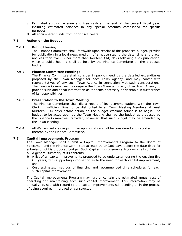- **c** Estimated surplus revenue and free cash at the end of the current fiscal year, including estimated balances in any special accounts established for specific purposes.
- **d** All encumbered funds from prior fiscal years.

# **7.6 Action on the Budget**

# **7.6.1 Public Hearing**

The Finance Committee shall, forthwith upon receipt of the proposed budget, provide for publication in a local news medium of a notice stating the date, time and place, not less than five (5) nor more than fourteen (14) days following such publication, when a public hearing shall be held by the Finance Committee on the proposed budget.

# **7.6.2 Finance Committee Meetings**

The Finance Committee shall consider in public meetings the detailed expenditures proposed by the Town Manager for each Town Agency, and may confer with representatives of any such Town Agency in connection with such considerations. The Finance Committee may require the Town Manager or any other Town Agency to provide such additional information as it deems necessary or desirable in furtherance of its responsibilities.

# **7.6.3 Presentation to the Town Meeting**

The Finance Committee shall file a report of its recommendations with the Town Clerk in sufficient time to be distributed to all Town Meeting Members at least fourteen (14) days before action on the budget Warrant Article is to begin. The budget to be acted upon by the Town Meeting shall be the budget as proposed by the Finance Committee; provided, however, that such budget may be amended by the Town Meeting.

**7.6.4** All Warrant Articles requiring an appropriation shall be considered and reported thereon by the Finance Committee.

# **7.7 Capital Improvements Program**

The Town Manager shall submit a Capital Improvements Program to the Board of Selectmen and the Finance Committee at least thirty (30) days before the date fixed for submission of his proposed budget. Such Capital Improvements Program shall contain:

- **a** A general summary of its contents;
- **b** A list of all capital improvements proposed to be undertaken during the ensuing five (5) years, with supporting information as to the need for each capital improvement; and
- **c** Cost estimates, methods of financing and recommended time schedules for each such capital improvement.

The Capital Improvements Program may further contain the estimated annual cost of operating and maintaining each such capital improvement. This information may be annually revised with regard to the capital improvements still pending or in the process of being acquired, improved or constructed.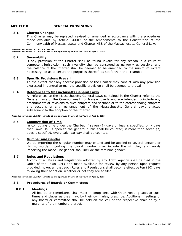# **ARTICLE 8 GENERAL PROVISIONS**

# **8.1 Charter Changes**

This Charter may be replaced, revised or amended in accordance with the procedures made available by Article LXXXIX of the amendments to the Constitution of the Commonwealth of Massachusetts and Chapter 43B of the Massachusetts General Laws.

**[Amended November 19, 2001 - Article 11] [Amended November 15, 2004 - Article 16 and approved by vote of the Town on April 5, 2005]** 

# **8.2 Severability**

If any provision of the Charter shall be found invalid for any reason in a court of competent jurisdiction, such invalidity shall be construed as narrowly as possible, and the balance of the Charter shall be deemed to be amended to the minimum extent necessary, so as to secure the purposes thereof, as set forth in the Preamble.

# **8.3 Specific Provisions Prevail**

To the extent that any specific provision of the Charter may conflict with any provision expressed in general terms, the specific provision shall be deemed to prevail.

# **8.4 References to Massachusetts General Laws**

All references to the Massachusetts General Laws contained in the Charter refer to the General Laws of the Commonwealth of Massachusetts and are intended to include any amendments or revisions to such chapters and sections or to the corresponding chapters and sections of any rearrangement of the Massachusetts General Laws enacted subsequent to the adoption of the Charter.

**[Amended November 15, 2004 - Article 16 and approved by vote of the Town on April 5, 2005]** 

# **8.5 Computation of Time**

In computing time under the Charter, if seven (7) days or less is specified, only days that Town Hall is open to the general public shall be counted; if more than seven (7) days is specified, every calendar day shall be counted.

# **8.6 Number and Gender**

Words importing the singular number may extend and be applied to several persons or things, words importing the plural number may include the singular, and words importing the masculine gender shall include the feminine gender.

# **8.7 Rules and Regulations**

A copy of all Rules and Regulations adopted by any Town Agency shall be filed in the Office of the Town Clerk and made available for review by any person upon request provided, however, that such Rules and Regulations shall become effective ten (10) days following their adoption, whether or not they are so filed.

**[Amended November 15, 2004 - Article 16 and approved by vote of the Town on April 5, 2005]** 

# **8.8 Procedures of Boards or Committees**

# **8.8.1 Meetings**

All boards or committees shall meet in compliance with Open Meeting Laws at such times and places as they may, by their own rules, prescribe. Additional meetings of any board or committee shall be held on the call of the respective chair or by a majority of the members thereof.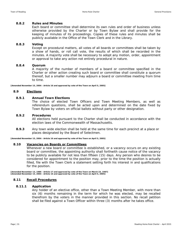# **8.8.2 Rules and Minutes**

Each board or committee shall determine its own rules and order of business unless otherwise provided by the Charter or by Town Bylaw and shall provide for the keeping of minutes of its proceedings. Copies of these rules and minutes shall be publicly available in the Office of the Town Clerk and in the Library.

# **8.8.3 Voting**

Except on procedural matters, all votes of all boards or committees shall be taken by a show of hands, or roll call vote, the results of which shall be recorded in the minutes. A majority vote shall be necessary to adopt any motion, order, appointment or approval to take any action not entirely procedural in nature.

# **8.8.4 Quorum**

A majority of the number of members of a board or committee specified in the Charter or other action creating such board or committee shall constitute a quorum thereof, but a smaller number may adjourn a board or committee meeting from time to time.

**[Amended November 15, 2004 - Article 16 and approved by vote of the Town on April 5, 2005]** 

# **8.9 Elections**

# **8.9.1 Annual Town Elections**

The choice of elected Town Officers and Town Meeting Members, as well as referendum questions, shall be acted upon and determined on the date fixed by Town Bylaw by voters on official ballots without party or other designation.

# **8.9.2 Procedures**

All elections held pursuant to the Charter shall be conducted in accordance with the election laws of the Commonwealth of Massachusetts.

**8.9.3** Any town wide election shall be held at the same time for each precinct at a place or places designated by the Board of Selectmen.

**[Amended November 15, 2004 - Article 16 and approved by vote of the Town on April 5, 2005]** 

# **8.10 Vacancies on Boards or Committees**

Whenever a new board or committee is established, or a vacancy occurs on any existing board or committee, the appointing authority shall forthwith cause notice of the vacancy to be publicly available for not less than fifteen (15) days. Any person who desires to be considered for appointment to the position may, prior to the time the position is actually filled, file with the Town Clerk a statement setting forth his interest in and qualifications for the position.

**[Amended November 13, 1986 - Article 17 and approved by vote of the Town on March 23, 1987] [Amended November 15, 2004 - Article 16 and approved by vote of the Town on April 5, 2005]** 

# **8.11 Recall Procedures**

# **8.11.1 Application**

Any holder of an elective office, other than a Town Meeting Member, with more than six (6) months remaining in the term for which he was elected, may be recalled therefrom by the voters in the manner provided in this section. No recall petition shall be filed against a Town Officer within three (3) months after he takes office.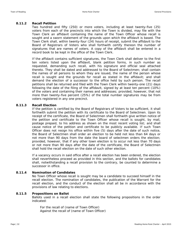# **8.11.2 Recall Petition**

Two hundred and fifty (250) or more voters, including at least twenty-five (25) voters from each of the precincts into which the Town is divided, may file with the Town Clerk an affidavit containing the name of the Town Officer whose recall is sought and a sworn statement of the grounds upon which the affidavit is based. The Town Clerk shall, within twenty-four (24) hours of receipt, submit the affidavit to the Board of Registrars of Voters who shall forthwith certify thereon the number of signatures that are names of voters. A copy of the affidavit shall be entered in a record book to be kept in the office of the Town Clerk.

If the affidavit contains sufficient signatures, the Town Clerk shall deliver to the first ten voters listed upon the affidavit, blank petition forms, in such number as requested, demanding such recall, with his signature and official seal attached thereto. They shall be dated and addressed to the Board of Selectmen; shall contain the names of all persons to whom they are issued, the name of the person whose recall is sought and the grounds for recall as stated in the affidavit; and shall demand the election of a successor to the office held by such person. The recall petitions shall be returned and filed with the Town Clerk within twenty-one (21) days following the date of the filing of the affidavit, signed by at least ten percent (10%) of the voters and containing their names and addresses; provided, however, that not more than twenty-five percent (25%) of the total number signatures may be from voters registered in any one precinct.

# **8.11.3 Recall Election**

If the petition is certified by the Board of Registrars of Voters to be sufficient, it shall forthwith submit the petition with its certificate to the Board of Selectmen. Upon its receipt of the certificate, the Board of Selectmen shall forthwith give written notice of the petition and certificate to the Town Officer whose recall is sought, by mail, postage prepaid, to his address as shown on the most recent voting list; and shall cause notice of the petition and certificate to be publicly available. If such Town Officer does not resign his office within five (5) days after the date of such notice, the Board of Selectmen shall order an election to be held not less than 64 days or not more than 90 days from the date the board of selectmen orders the election; provided, however, that if any other town election is to occur not less than 70 days or not more than 90 days after the date of the certificate, the Board of Selectmen shall hold the recall election on the date of such other election.

If a vacancy occurs in said office after a recall election has been ordered, the election shall nevertheless proceed as provided in this section, and the ballots for candidates shall, notwithstanding a recall provision to the contrary, be counted to determine a successor in office.

# **8.11.4 Nomination of Candidates**

No Town Officer whose recall is sought may be a candidate to succeed himself in the recall election. The nomination of candidates, the publication of the Warrant for the recall election, and the conduct of the election shall all be in accordance with the provisions of law relating to elections.

# **8.11.5 Propositions on Ballot**

Ballots used in a recall election shall state the following propositions in the order indicated:

For the recall of (name of Town Officer) Against the recall of (name of Town Officer)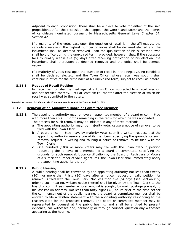Adjacent to each proposition, there shall be a place to vote for either of the said propositions. After the proposition shall appear the word "candidates" and the names of candidates nominated pursuant to Massachusetts General Laws Chapter 54, Section 42.

If a majority of the votes cast upon the question of recall is in the affirmative, the candidate receiving the highest number of votes shall be declared elected and the incumbent shall be deemed removed upon the qualification of his successor, who shall hold office during the unexpired term; provided, however, that, if the successor fails to qualify within five (5) days after receiving notification of his election, the incumbent shall thereupon be deemed removed and the office shall be deemed vacant.

If a majority of votes cast upon the question of recall is in the negative, no candidate shall be declared elected, and the Town Officer whose recall was sought shall continue in office for the remainder of his unexpired term, subject to recall as before.

# **8.11.6 Repeat of Recall Petition**

No recall petition shall be filed against a Town Officer subjected to a recall election and not recalled thereby, until at least six (6) months after the election at which his recall was submitted to the voters.

**[Amended November 15, 2004 - Article 16 and approved by vote of the Town on April 5, 2005]** 

# **8.12 Removal of an Appointed Board or Committee Member**

- **8.12.1** The appointing authority may remove an appointed member of a board or committee with more than six (6) months remaining in the term for which he was appointed. The process for such removal may be initiated in any of three methods:
	- **a** The appointing authority may, by majority vote, cause a notice of removal to be filed with the Town Clerk;
	- **b** A board or committee may, by majority vote, submit a written request that the appointing authority remove one of its members, specifying the grounds for such removal request in writing and causing a notice of removal to be filed with the Town Clerk;
	- **c** One hundred (100) or more voters may file with the Town Clerk a petition requesting the removal of a member of a board or committee, specifying the grounds for such removal. Upon certification by the Board of Registrars of Voters of a sufficient number of valid signatures, the Town Clerk shall immediately notify the appointing authority thereof.

# **8.12.2 Public Hearing**

A public hearing shall be convened by the appointing authority not less than twenty (20) nor more than thirty (30) days after a notice, request or valid petition for removal is filed with the Town Clerk. Not less than five (5) days (see Section 8.5) prior to such hearing, written notice thereof shall be given by the Town Clerk to the board or committee member whose removal is sought, by mail, postage prepaid, to his last known address. Not less than forty-eight (48) hours prior to the time set for the commencement of the public hearing, the board or committee member shall be entitled to file a written statement with the appointing authority responding to the reasons cited for the proposed removal. The board or committee member may be represented by counsel at the public hearing, and shall be entitled to present evidence, call witnesses and, personally or through counsel, question any witnesses appearing at the hearing.